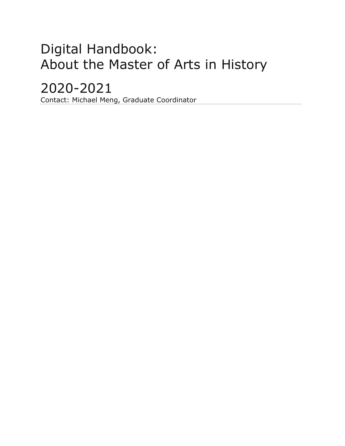# Digital Handbook: About the Master of Arts in History

## 2020-2021

Contact: Michael Meng, Graduate Coordinator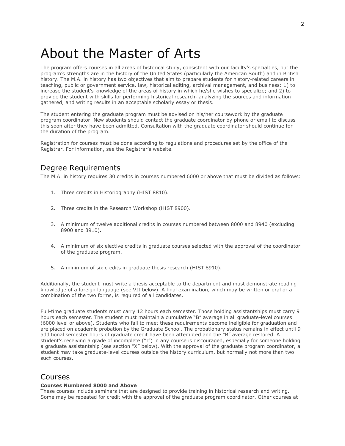## About the Master of Arts

The program offers courses in all areas of historical study, consistent with our faculty's specialties, but the program's strengths are in the history of the United States (particularly the American South) and in British history. The M.A. in history has two objectives that aim to prepare students for history-related careers in teaching, public or government service, law, historical editing, archival management, and business: 1) to increase the student's knowledge of the areas of history in which he/she wishes to specialize; and 2) to provide the student with skills for performing historical research, analyzing the sources and information gathered, and writing results in an acceptable scholarly essay or thesis.

The student entering the graduate program must be advised on his/her coursework by the graduate program coordinator. New students should contact the graduate coordinator by phone or email to discuss this soon after they have been admitted. Consultation with the graduate coordinator should continue for the duration of the program.

Registration for courses must be done according to regulations and procedures set by the office of the Registrar. For information, see the Registrar's website.

### Degree Requirements

The M.A. in history requires 30 credits in courses numbered 6000 or above that must be divided as follows:

- 1. Three credits in Historiography (HIST 8810).
- 2. Three credits in the Research Workshop (HIST 8900).
- 3. A minimum of twelve additional credits in courses numbered between 8000 and 8940 (excluding 8900 and 8910).
- 4. A minimum of six elective credits in graduate courses selected with the approval of the coordinator of the graduate program.
- 5. A minimum of six credits in graduate thesis research (HIST 8910).

Additionally, the student must write a thesis acceptable to the department and must demonstrate reading knowledge of a foreign language (see VII below). A final examination, which may be written or oral or a combination of the two forms, is required of all candidates.

Full-time graduate students must carry 12 hours each semester. Those holding assistantships must carry 9 hours each semester. The student must maintain a cumulative "B" average in all graduate-level courses (6000 level or above). Students who fail to meet these requirements become ineligible for graduation and are placed on academic probation by the Graduate School. The probationary status remains in effect until 9 additional semester hours of graduate credit have been attempted and the "B" average restored. A student's receiving a grade of incomplete ("I") in any course is discouraged, especially for someone holding a graduate assistantship (see section "X" below). With the approval of the graduate program coordinator, a student may take graduate-level courses outside the history curriculum, but normally not more than two such courses.

### Courses

#### **Courses Numbered 8000 and Above**

These courses include seminars that are designed to provide training in historical research and writing. Some may be repeated for credit with the approval of the graduate program coordinator. Other courses at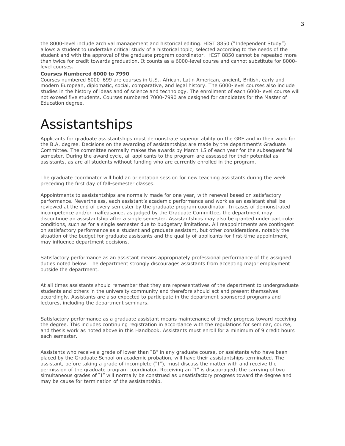the 8000-level include archival management and historical editing. HIST 8850 ("Independent Study") allows a student to undertake critical study of a historical topic, selected according to the needs of the student and with the approval of the graduate program coordinator. HIST 8850 cannot be repeated more than twice for credit towards graduation. It counts as a 6000-level course and cannot substitute for 8000 level courses.

#### **Courses Numbered 6000 to 7990**

Courses numbered 6000–699 are courses in U.S., African, Latin American, ancient, British, early and modern European, diplomatic, social, comparative, and legal history. The 6000-level courses also include studies in the history of ideas and of science and technology. The enrollment of each 6000-level course will not exceed five students. Courses numbered 7000-7990 are designed for candidates for the Master of Education degree.

### Assistantships

Applicants for graduate assistantships must demonstrate superior ability on the GRE and in their work for the B.A. degree. Decisions on the awarding of assistantships are made by the department's Graduate Committee. The committee normally makes the awards by March 15 of each year for the subsequent fall semester. During the award cycle, all applicants to the program are assessed for their potential as assistants, as are all students without funding who are currently enrolled in the program.

The graduate coordinator will hold an orientation session for new teaching assistants during the week preceding the first day of fall-semester classes.

Appointments to assistantships are normally made for one year, with renewal based on satisfactory performance. Nevertheless, each assistant's academic performance and work as an assistant shall be reviewed at the end of every semester by the graduate program coordinator. In cases of demonstrated incompetence and/or malfeasance, as judged by the Graduate Committee, the department may discontinue an assistantship after a single semester. Assistantships may also be granted under particular conditions, such as for a single semester due to budgetary limitations. All reappointments are contingent on satisfactory performance as a student and graduate assistant, but other considerations, notably the situation of the budget for graduate assistants and the quality of applicants for first-time appointment, may influence department decisions.

Satisfactory performance as an assistant means appropriately professional performance of the assigned duties noted below. The department strongly discourages assistants from accepting major employment outside the department.

At all times assistants should remember that they are representatives of the department to undergraduate students and others in the university community and therefore should act and present themselves accordingly. Assistants are also expected to participate in the department-sponsored programs and lectures, including the department seminars.

Satisfactory performance as a graduate assistant means maintenance of timely progress toward receiving the degree. This includes continuing registration in accordance with the regulations for seminar, course, and thesis work as noted above in this Handbook. Assistants must enroll for a minimum of 9 credit hours each semester.

Assistants who receive a grade of lower than "B" in any graduate course, or assistants who have been placed by the Graduate School on academic probation, will have their assistantships terminated. The assistant, before taking a grade of incomplete ("I"), must discuss the matter with and receive the permission of the graduate program coordinator. Receiving an "I" is discouraged; the carrying of two simultaneous grades of "I" will normally be construed as unsatisfactory progress toward the degree and may be cause for termination of the assistantship.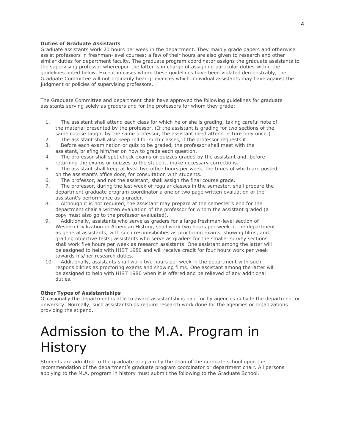#### **Duties of Graduate Assistants**

Graduate assistants work 20 hours per week in the department. They mainly grade papers and otherwise assist professors in freshman-level courses; a few of their hours are also given to research and other similar duties for department faculty. The graduate program coordinator assigns the graduate assistants to the supervising professor whereupon the latter is in charge of assigning particular duties within the guidelines noted below. Except in cases where these guidelines have been violated demonstrably, the Graduate Committee will not ordinarily hear grievances which individual assistants may have against the judgment or policies of supervising professors.

The Graduate Committee and department chair have approved the following guidelines for graduate assistants serving solely as graders and for the professors for whom they grade:

- 1. The assistant shall attend each class for which he or she is grading, taking careful note of the material presented by the professor. (If the assistant is grading for two sections of the same course taught by the same professor, the assistant need attend lecture only once.)
- 2. The assistant shall also keep roll for such classes, if the professor requests it.
- 3. Before each examination or quiz to be graded, the professor shall meet with the assistant, briefing him/her on how to grade each question.
- 4. The professor shall spot check exams or quizzes graded by the assistant and, before returning the exams or quizzes to the student, make necessary corrections.
- 5. The assistant shall keep at least two office hours per week, the times of which are posted on the assistant's office door, for consultation with students.
- 6. The professor, and not the assistant, shall assign the final course grade.
- 7. The professor, during the last week of regular classes in the semester, shall prepare the department graduate program coordinator a one or two page written evaluation of the assistant's performance as a grader.
- 8. Although it is not required, the assistant may prepare at the semester's end for the department chair a written evaluation of the professor for whom the assistant graded (a copy must also go to the professor evaluated).
- 9. Additionally, assistants who serve as graders for a large freshman-level section of Western Civilization or American History, shall work two hours per week in the department as general assistants, with such responsibilities as proctoring exams, showing films, and grading objective tests; assistants who serve as graders for the smaller survey sections shall work five hours per week as research assistants. One assistant among the latter will be assigned to help with HIST 1980 and will receive credit for four hours work per week towards his/her research duties.
- 10. Additionally, assistants shall work two hours per week in the department with such responsibilities as proctoring exams and showing films. One assistant among the latter will be assigned to help with HIST 1980 when it is offered and be relieved of any additional duties.

#### **Other Types of Assistantships**

Occasionally the department is able to award assistantships paid for by agencies outside the department or university. Normally, such assistantships require research work done for the agencies or organizations providing the stipend.

## Admission to the M.A. Program in **History**

Students are admitted to the graduate program by the dean of the graduate school upon the recommendation of the department's graduate program coordinator or department chair. All persons applying to the M.A. program in history must submit the following to the Graduate School.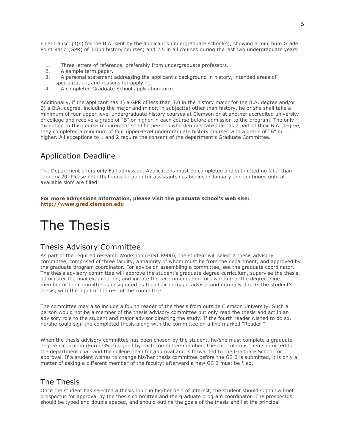Final transcript(s) for the B.A. sent by the applicant's undergraduate school(s), showing a minimum Grade Point Ratio (GPR) of 3.0 in history courses; and 2.5 in all courses during the last two undergraduate years.

- 1. Three letters of reference, preferably from undergraduate professors.
- 2. A sample term paper.
- 3. A personal statement addressing the applicant's background in history, intended areas of specialization, and reasons for applying.
- 4. A completed Graduate School application form.

Additionally, if the applicant has 1) a GPR of less than 3.0 in the history major for the B.A. degree and/or 2) a B.A. degree, including the major and minor, in subject(s) other than history, he or she shall take a minimum of four upper-level undergraduate history courses at Clemson or at another accredited university or college and receive a grade of "B" or higher in each course before admission to the program. The only exception to this course requirement shall be persons who demonstrate that, as a part of their B.A. degree, they completed a minimum of four upper-level undergraduate history courses with a grade of "B" or higher. All exceptions to 1 and 2 require the consent of the department's Graduate Committee.

### Application Deadline

The Department offers only Fall admission. Applications must be completed and submitted no later than January 20. Please note that consideration for assistantships begins in January and continues until all available slots are filled.

**For more admissions information, please visit the graduate school's web site: [http://www.grad.clemson.edu](http://www.grad.clemson.edu/)**

## The Thesis

### Thesis Advisory Committee

As part of the required research Workshop (HIST 8900), the student will select a thesis advisory committee, comprised of three faculty, a majority of whom must be from the department, and approved by the graduate program coordinator. For advice on assembling a committee, see the graduate coordinator. The thesis advisory committee will approve the student's graduate degree curriculum, supervise the thesis, administer the final examination, and initiate the recommendation for awarding of the degree. One member of the committee is designated as the chair or major advisor and normally directs the student's thesis, with the input of the rest of the committee.

The committee may also include a fourth reader of the thesis from outside Clemson University. Such a person would not be a member of the thesis advisory committee but only read the thesis and act in an advisory role to the student and major advisor directing the study. If the fourth reader wished to do so, he/she could sign the completed thesis along with the committee on a line marked "Reader."

When the thesis advisory committee has been chosen by the student, he/she must complete a graduate degree curriculum (Form GS 2) signed by each committee member. The curriculum is then submitted to the department chair and the college dean for approval and is forwarded to the Graduate School for approval. If a student wishes to change his/her thesis committee before the GS 2 is submitted, it is only a matter of asking a different member of the faculty; afterward a new GS 2 must be filed.

### The Thesis

Once the student has selected a thesis topic in his/her field of interest, the student should submit a brief prospectus for approval by the thesis committee and the graduate program coordinator. The prospectus should be typed and double spaced, and should outline the goals of the thesis and list the principal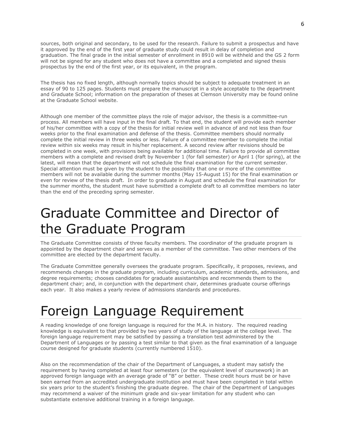sources, both original and secondary, to be used for the research. Failure to submit a prospectus and have it approved by the end of the first year of graduate study could result in delay of completion and graduation. The final grade in the initial semester of enrollment in 8910 will be withheld and the GS 2 form will not be signed for any student who does not have a committee and a completed and signed thesis prospectus by the end of the first year, or its equivalent, in the program.

The thesis has no fixed length, although normally topics should be subject to adequate treatment in an essay of 90 to 125 pages. Students must prepare the manuscript in a style acceptable to the department and Graduate School; information on the preparation of theses at Clemson University may be found online at the Graduate School website.

Although one member of the committee plays the role of major advisor, the thesis is a committee-run process. All members will have input in the final draft. To that end, the student will provide each member of his/her committee with a copy of the thesis for initial review well in advance of and not less than four weeks prior to the final examination and defense of the thesis. Committee members should normally complete the initial review in three weeks or less. Failure of a committee member to complete the initial review within six weeks may result in his/her replacement. A second review after revisions should be completed in one week, with provisions being available for additional time. Failure to provide all committee members with a complete and revised draft by November 1 (for fall semester) or April 1 (for spring), at the latest, will mean that the department will not schedule the final examination for the current semester. Special attention must be given by the student to the possibility that one or more of the committee members will not be available during the summer months (May 15-August 15) for the final examination or even for review of the thesis draft. In order to graduate in August and schedule the final examination for the summer months, the student must have submitted a complete draft to all committee members no later than the end of the preceding spring semester.

## Graduate Committee and Director of the Graduate Program

The Graduate Committee consists of three faculty members. The coordinator of the graduate program is appointed by the department chair and serves as a member of the committee. Two other members of the committee are elected by the department faculty.

The Graduate Committee generally oversees the graduate program. Specifically, it proposes, reviews, and recommends changes in the graduate program, including curriculum, academic standards, admissions, and degree requirements; chooses candidates for graduate assistantships and recommends them to the department chair; and, in conjunction with the department chair, determines graduate course offerings each year. It also makes a yearly review of admissions standards and procedures.

### Foreign Language Requirement

A reading knowledge of one foreign language is required for the M.A. in history. The required reading knowledge is equivalent to that provided by two years of study of the language at the college level. The foreign language requirement may be satisfied by passing a translation test administered by the Department of Languages or by passing a test similar to that given as the final examination of a language course designed for graduate students (currently numbered 1510).

Also on the recommendation of the chair of the Department of Languages, a student may satisfy the requirement by having completed at least four semesters (or the equivalent level of coursework) in an approved foreign language with an average grade of "B" or better. These credit hours must be or have been earned from an accredited undergraduate institution and must have been completed in total within six years prior to the student's finishing the graduate degree. The chair of the Department of Languages may recommend a waiver of the minimum grade and six-year limitation for any student who can substantiate extensive additional training in a foreign language.